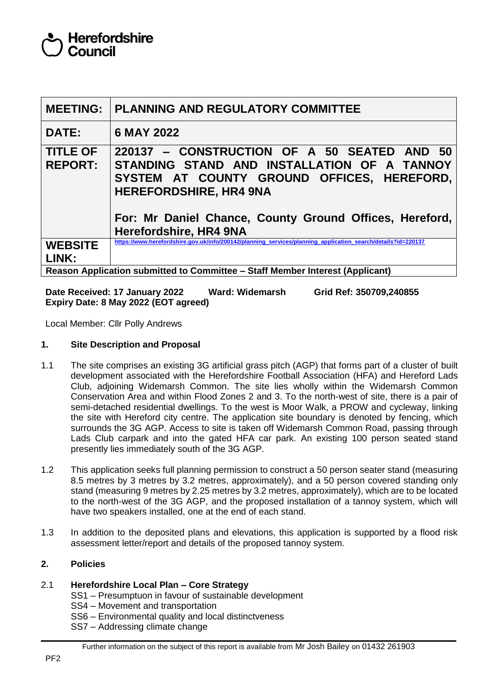|                                                                               | <b>MEETING:   PLANNING AND REGULATORY COMMITTEE</b>                                                                                                                                                                                                            |  |  |  |
|-------------------------------------------------------------------------------|----------------------------------------------------------------------------------------------------------------------------------------------------------------------------------------------------------------------------------------------------------------|--|--|--|
| <b>DATE:</b>                                                                  | 6 MAY 2022                                                                                                                                                                                                                                                     |  |  |  |
| <b>TITLE OF</b><br><b>REPORT:</b>                                             | 220137 - CONSTRUCTION OF A 50 SEATED AND 50<br>STANDING STAND AND INSTALLATION OF A TANNOY<br>SYSTEM AT COUNTY GROUND OFFICES, HEREFORD,<br><b>HEREFORDSHIRE, HR4 9NA</b><br>For: Mr Daniel Chance, County Ground Offices, Hereford,<br>Herefordshire, HR4 9NA |  |  |  |
| <b>WEBSITE</b><br>LINK:                                                       | https://www.herefordshire.gov.uk/info/200142/planning services/planning application search/details?id=220137                                                                                                                                                   |  |  |  |
| Reason Application submitted to Committee – Staff Member Interest (Applicant) |                                                                                                                                                                                                                                                                |  |  |  |

**Date Received: 17 January 2022 Ward: Widemarsh Grid Ref: 350709,240855 Expiry Date: 8 May 2022 (EOT agreed)**

Local Member: Cllr Polly Andrews

## **1. Site Description and Proposal**

- 1.1 The site comprises an existing 3G artificial grass pitch (AGP) that forms part of a cluster of built development associated with the Herefordshire Football Association (HFA) and Hereford Lads Club, adjoining Widemarsh Common. The site lies wholly within the Widemarsh Common Conservation Area and within Flood Zones 2 and 3. To the north-west of site, there is a pair of semi-detached residential dwellings. To the west is Moor Walk, a PROW and cycleway, linking the site with Hereford city centre. The application site boundary is denoted by fencing, which surrounds the 3G AGP. Access to site is taken off Widemarsh Common Road, passing through Lads Club carpark and into the gated HFA car park. An existing 100 person seated stand presently lies immediately south of the 3G AGP.
- 1.2 This application seeks full planning permission to construct a 50 person seater stand (measuring 8.5 metres by 3 metres by 3.2 metres, approximately), and a 50 person covered standing only stand (measuring 9 metres by 2.25 metres by 3.2 metres, approximately), which are to be located to the north-west of the 3G AGP, and the proposed installation of a tannoy system, which will have two speakers installed, one at the end of each stand.
- 1.3 In addition to the deposited plans and elevations, this application is supported by a flood risk assessment letter/report and details of the proposed tannoy system.

### **2. Policies**

### 2.1 **Herefordshire Local Plan – Core Strategy**

- SS1 Presumptuon in favour of sustainable development
- SS4 Movement and transportation
- SS6 Environmental quality and local distinctveness
- SS7 Addressing climate change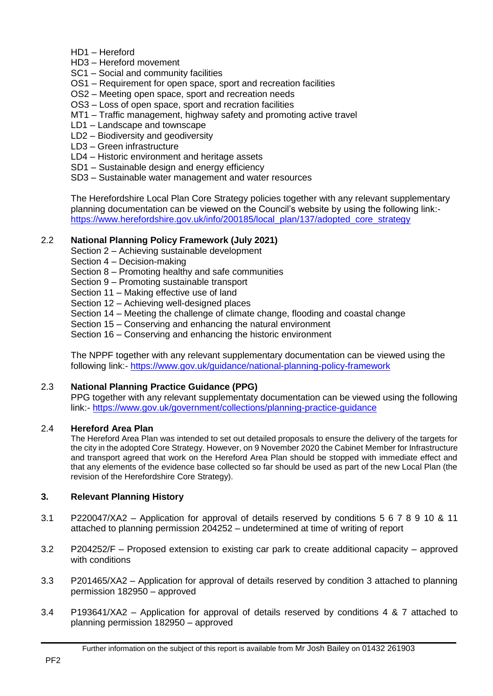- HD1 Hereford
- HD3 Hereford movement
- SC1 Social and community facilities
- OS1 Requirement for open space, sport and recreation facilities
- OS2 Meeting open space, sport and recreation needs
- OS3 Loss of open space, sport and recration facilities
- MT1 Traffic management, highway safety and promoting active travel
- LD1 Landscape and townscape
- LD2 Biodiversity and geodiversity
- LD3 Green infrastructure
- LD4 Historic environment and heritage assets
- SD1 Sustainable design and energy efficiency
- SD3 Sustainable water management and water resources

The Herefordshire Local Plan Core Strategy policies together with any relevant supplementary planning documentation can be viewed on the Council's website by using the following link: [https://www.herefordshire.gov.uk/info/200185/local\\_plan/137/adopted\\_core\\_strategy](https://www.herefordshire.gov.uk/info/200185/local_plan/137/adopted_core_strategy)

# 2.2 **National Planning Policy Framework (July 2021)**

- Section 2 Achieving sustainable development
- Section 4 Decision-making
- Section 8 Promoting healthy and safe communities
- Section 9 Promoting sustainable transport
- Section 11 Making effective use of land
- Section 12 Achieving well-designed places
- Section 14 Meeting the challenge of climate change, flooding and coastal change
- Section 15 Conserving and enhancing the natural environment
- Section 16 Conserving and enhancing the historic environment

The NPPF together with any relevant supplementary documentation can be viewed using the following link:- <https://www.gov.uk/guidance/national-planning-policy-framework>

# 2.3 **National Planning Practice Guidance (PPG)**

PPG together with any relevant supplementaty documentation can be viewed using the following link:- <https://www.gov.uk/government/collections/planning-practice-guidance>

### 2.4 **Hereford Area Plan**

The Hereford Area Plan was intended to set out detailed proposals to ensure the delivery of the targets for the city in the adopted Core Strategy. However, on 9 November 2020 the Cabinet Member for Infrastructure and transport agreed that work on the Hereford Area Plan should be stopped with immediate effect and that any elements of the evidence base collected so far should be used as part of the new Local Plan (the revision of the Herefordshire Core Strategy).

# **3. Relevant Planning History**

- 3.1 P220047/XA2 Application for approval of details reserved by conditions 5 6 7 8 9 10 & 11 attached to planning permission 204252 – undetermined at time of writing of report
- 3.2 P204252/F Proposed extension to existing car park to create additional capacity approved with conditions
- 3.3 P201465/XA2 Application for approval of details reserved by condition 3 attached to planning permission 182950 – approved
- 3.4 P193641/XA2 Application for approval of details reserved by conditions 4 & 7 attached to planning permission 182950 – approved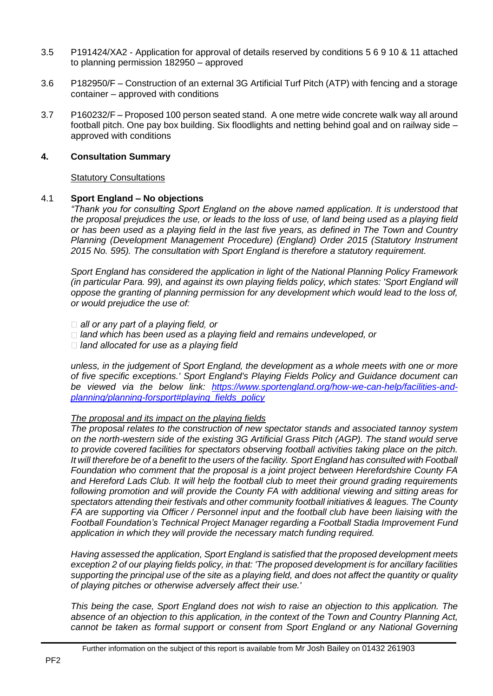- 3.5 P191424/XA2 Application for approval of details reserved by conditions 5 6 9 10 & 11 attached to planning permission 182950 – approved
- 3.6 P182950/F Construction of an external 3G Artificial Turf Pitch (ATP) with fencing and a storage container – approved with conditions
- 3.7 P160232/F Proposed 100 person seated stand. A one metre wide concrete walk way all around football pitch. One pay box building. Six floodlights and netting behind goal and on railway side – approved with conditions

#### **4. Consultation Summary**

#### Statutory Consultations

### 4.1 **Sport England – No objections**

*"Thank you for consulting Sport England on the above named application. It is understood that the proposal prejudices the use, or leads to the loss of use, of land being used as a playing field or has been used as a playing field in the last five years, as defined in The Town and Country Planning (Development Management Procedure) (England) Order 2015 (Statutory Instrument 2015 No. 595). The consultation with Sport England is therefore a statutory requirement.*

*Sport England has considered the application in light of the National Planning Policy Framework (in particular Para. 99), and against its own playing fields policy, which states: 'Sport England will oppose the granting of planning permission for any development which would lead to the loss of, or would prejudice the use of:*

 $\Box$  all or any part of a playing field, or

- *land which has been used as a playing field and remains undeveloped, or*
- $\Box$  land allocated for use as a playing field

*unless, in the judgement of Sport England, the development as a whole meets with one or more of five specific exceptions.' Sport England's Playing Fields Policy and Guidance document can be viewed via the below link: [https://www.sportengland.org/how-we-can-help/facilities-and](https://www.sportengland.org/how-we-can-help/facilities-and-planning/planning-forsport#playing_fields_policy)[planning/planning-forsport#playing\\_fields\\_policy](https://www.sportengland.org/how-we-can-help/facilities-and-planning/planning-forsport#playing_fields_policy)*

## *The proposal and its impact on the playing fields*

*The proposal relates to the construction of new spectator stands and associated tannoy system on the north-western side of the existing 3G Artificial Grass Pitch (AGP). The stand would serve to provide covered facilities for spectators observing football activities taking place on the pitch. It will therefore be of a benefit to the users of the facility. Sport England has consulted with Football Foundation who comment that the proposal is a joint project between Herefordshire County FA and Hereford Lads Club. It will help the football club to meet their ground grading requirements following promotion and will provide the County FA with additional viewing and sitting areas for spectators attending their festivals and other community football initiatives & leagues. The County FA are supporting via Officer / Personnel input and the football club have been liaising with the Football Foundation's Technical Project Manager regarding a Football Stadia Improvement Fund application in which they will provide the necessary match funding required.*

*Having assessed the application, Sport England is satisfied that the proposed development meets exception 2 of our playing fields policy, in that: 'The proposed development is for ancillary facilities supporting the principal use of the site as a playing field, and does not affect the quantity or quality of playing pitches or otherwise adversely affect their use.'*

*This being the case, Sport England does not wish to raise an objection to this application. The absence of an objection to this application, in the context of the Town and Country Planning Act, cannot be taken as formal support or consent from Sport England or any National Governing*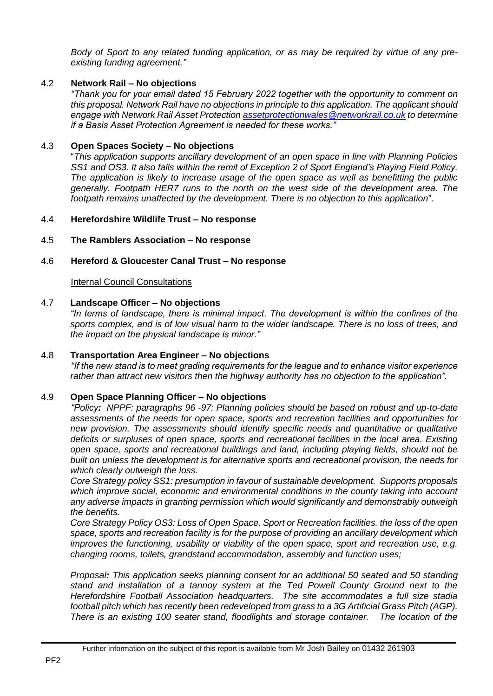*Body of Sport to any related funding application, or as may be required by virtue of any preexisting funding agreement."*

## 4.2 **Network Rail – No objections**

*"Thank you for your email dated 15 February 2022 together with the opportunity to comment on this proposal. Network Rail have no objections in principle to this application. The applicant should engage with Network Rail Asset Protection [assetprotectionwales@networkrail.co.uk](mailto:assetprotectionwales@networkrail.co.uk) to determine if a Basis Asset Protection Agreement is needed for these works."*

# 4.3 **Open Spaces Society** – **No objections**

"*This application supports ancillary development of an open space in line with Planning Policies SS1 and OS3. It also falls within the remit of Exception 2 of Sport England's Playing Field Policy. The application is likely to increase usage of the open space as well as benefitting the public generally. Footpath HER7 runs to the north on the west side of the development area. The footpath remains unaffected by the development. There is no objection to this application*".

# 4.4 **Herefordshire Wildlife Trust – No response**

# 4.5 **The Ramblers Association – No response**

### 4.6 **Hereford & Gloucester Canal Trust – No response**

**Internal Council Consultations** 

## 4.7 **Landscape Officer – No objections**

*"In terms of landscape, there is minimal impact. The development is within the confines of the sports complex, and is of low visual harm to the wider landscape. There is no loss of trees, and the impact on the physical landscape is minor."*

### 4.8 **Transportation Area Engineer – No objections**

*"If the new stand is to meet grading requirements for the league and to enhance visitor experience rather than attract new visitors then the highway authority has no objection to the application".*

### 4.9 **Open Space Planning Officer – No objections**

*"Policy: NPPF: paragraphs 96 -97: Planning policies should be based on robust and up-to-date assessments of the needs for open space, sports and recreation facilities and opportunities for new provision. The assessments should identify specific needs and quantitative or qualitative deficits or surpluses of open space, sports and recreational facilities in the local area. Existing open space, sports and recreational buildings and land, including playing fields, should not be built on unless the development is for alternative sports and recreational provision, the needs for which clearly outweigh the loss.*

*Core Strategy policy SS1: presumption in favour of sustainable development. Supports proposals which improve social, economic and environmental conditions in the county taking into account any adverse impacts in granting permission which would significantly and demonstrably outweigh the benefits.* 

*Core Strategy Policy OS3: Loss of Open Space, Sport or Recreation facilities. the loss of the open space, sports and recreation facility is for the purpose of providing an ancillary development which improves the functioning, usability or viability of the open space, sport and recreation use, e.g. changing rooms, toilets, grandstand accommodation, assembly and function uses;*

*Proposal: This application seeks planning consent for an additional 50 seated and 50 standing stand and installation of a tannoy system at the Ted Powell County Ground next to the Herefordshire Football Association headquarters. The site accommodates a full size stadia football pitch which has recently been redeveloped from grass to a 3G Artificial Grass Pitch (AGP). There is an existing 100 seater stand, floodlights and storage container. The location of the*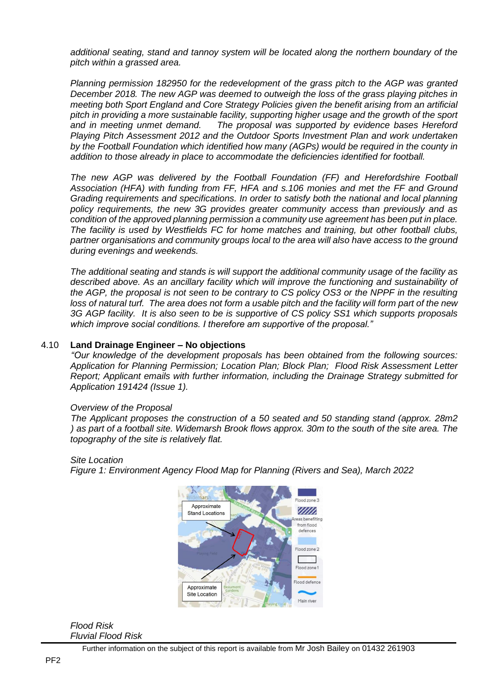*additional seating, stand and tannoy system will be located along the northern boundary of the pitch within a grassed area.* 

*Planning permission 182950 for the redevelopment of the grass pitch to the AGP was granted December 2018. The new AGP was deemed to outweigh the loss of the grass playing pitches in meeting both Sport England and Core Strategy Policies given the benefit arising from an artificial pitch in providing a more sustainable facility, supporting higher usage and the growth of the sport and in meeting unmet demand. The proposal was supported by evidence bases Hereford Playing Pitch Assessment 2012 and the Outdoor Sports Investment Plan and work undertaken by the Football Foundation which identified how many (AGPs) would be required in the county in addition to those already in place to accommodate the deficiencies identified for football.*

*The new AGP was delivered by the Football Foundation (FF) and Herefordshire Football Association (HFA) with funding from FF, HFA and s.106 monies and met the FF and Ground Grading requirements and specifications. In order to satisfy both the national and local planning policy requirements, the new 3G provides greater community access than previously and as condition of the approved planning permission a community use agreement has been put in place. The facility is used by Westfields FC for home matches and training, but other football clubs, partner organisations and community groups local to the area will also have access to the ground during evenings and weekends.* 

*The additional seating and stands is will support the additional community usage of the facility as described above. As an ancillary facility which will improve the functioning and sustainability of the AGP, the proposal is not seen to be contrary to CS policy OS3 or the NPPF in the resulting loss of natural turf. The area does not form a usable pitch and the facility will form part of the new 3G AGP facility. It is also seen to be is supportive of CS policy SS1 which supports proposals which improve social conditions. I therefore am supportive of the proposal."*

#### 4.10 **Land Drainage Engineer – No objections**

*"Our knowledge of the development proposals has been obtained from the following sources: Application for Planning Permission; Location Plan; Block Plan; Flood Risk Assessment Letter Report; Applicant emails with further information, including the Drainage Strategy submitted for Application 191424 (Issue 1).*

#### *Overview of the Proposal*

*The Applicant proposes the construction of a 50 seated and 50 standing stand (approx. 28m2 ) as part of a football site. Widemarsh Brook flows approx. 30m to the south of the site area. The topography of the site is relatively flat.*

#### *Site Location*

*Figure 1: Environment Agency Flood Map for Planning (Rivers and Sea), March 2022*



#### *Flood Risk Fluvial Flood Risk*

Further information on the subject of this report is available from Mr Josh Bailey on 01432 261903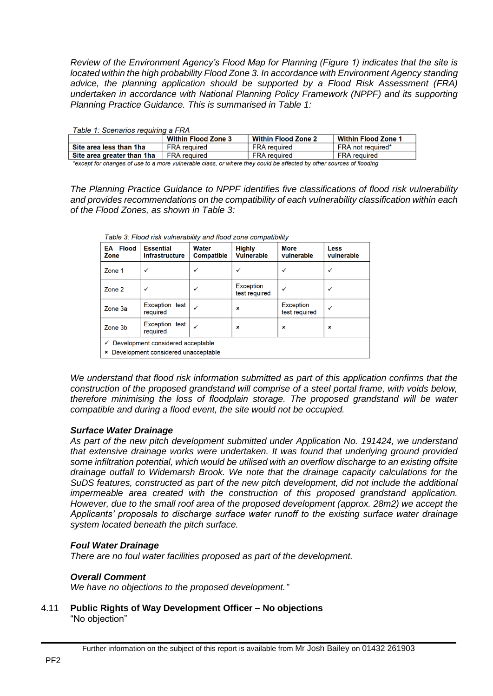*Review of the Environment Agency's Flood Map for Planning (Figure 1) indicates that the site is located within the high probability Flood Zone 3. In accordance with Environment Agency standing advice, the planning application should be supported by a Flood Risk Assessment (FRA) undertaken in accordance with National Planning Policy Framework (NPPF) and its supporting Planning Practice Guidance. This is summarised in Table 1:*

| Table 1: Scenarios requiring a FRA |                            |                            |                            |  |  |  |  |  |
|------------------------------------|----------------------------|----------------------------|----------------------------|--|--|--|--|--|
|                                    | <b>Within Flood Zone 3</b> | <b>Within Flood Zone 2</b> | <b>Within Flood Zone 1</b> |  |  |  |  |  |
| Site area less than 1ha            | <b>FRA</b> required        | <b>FRA</b> required        | FRA not required*          |  |  |  |  |  |
| Site area greater than 1ha         | <b>FRA</b> required        | <b>FRA</b> required        | <b>FRA</b> required        |  |  |  |  |  |
|                                    |                            |                            |                            |  |  |  |  |  |

\*except for changes of use to a more vulnerable class, or where they could be affected by other sources of flooding

*The Planning Practice Guidance to NPPF identifies five classifications of flood risk vulnerability and provides recommendations on the compatibility of each vulnerability classification within each of the Flood Zones, as shown in Table 3:*

| <b>Flood</b><br>EA<br>Zone                                                    | <b>Essential</b><br><b>Infrastructure</b> | Water<br><b>Compatible</b> | <b>Highly</b><br><b>Vulnerable</b> | <b>More</b><br>vulnerable  | Less<br>vulnerable |  |  |  |
|-------------------------------------------------------------------------------|-------------------------------------------|----------------------------|------------------------------------|----------------------------|--------------------|--|--|--|
| Zone 1                                                                        | $\checkmark$                              | ✓                          | ✓                                  | ✓                          | ✓                  |  |  |  |
| Zone 2                                                                        | ✓                                         | ✓                          | Exception<br>test required         | ✓                          | ✓                  |  |  |  |
| Zone 3a                                                                       | Exception test<br>required                | ✓                          | ×                                  | Exception<br>test required | ✓                  |  |  |  |
| Zone 3b                                                                       | Exception test<br>required                | ✓                          | ×                                  | ×                          | ×                  |  |  |  |
| Development considered acceptable<br>Development considered unacceptable<br>× |                                           |                            |                                    |                            |                    |  |  |  |

Table 3: Flood risk vulnerability and flood zone compatibility

*We understand that flood risk information submitted as part of this application confirms that the construction of the proposed grandstand will comprise of a steel portal frame, with voids below, therefore minimising the loss of floodplain storage. The proposed grandstand will be water compatible and during a flood event, the site would not be occupied.*

# *Surface Water Drainage*

*As part of the new pitch development submitted under Application No. 191424, we understand that extensive drainage works were undertaken. It was found that underlying ground provided some infiltration potential, which would be utilised with an overflow discharge to an existing offsite drainage outfall to Widemarsh Brook. We note that the drainage capacity calculations for the SuDS features, constructed as part of the new pitch development, did not include the additional impermeable area created with the construction of this proposed grandstand application. However, due to the small roof area of the proposed development (approx. 28m2) we accept the Applicants' proposals to discharge surface water runoff to the existing surface water drainage system located beneath the pitch surface.*

### *Foul Water Drainage*

*There are no foul water facilities proposed as part of the development.*

### *Overall Comment*

*We have no objections to the proposed development."*

4.11 **Public Rights of Way Development Officer – No objections** "No objection"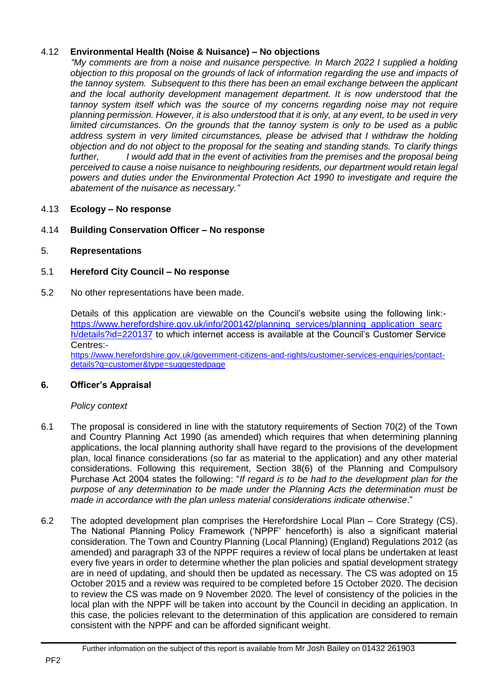# 4.12 **Environmental Health (Noise & Nuisance) – No objections**

*"My comments are from a noise and nuisance perspective. In March 2022 I supplied a holding objection to this proposal on the grounds of lack of information regarding the use and impacts of the tannoy system. Subsequent to this there has been an email exchange between the applicant and the local authority development management department. It is now understood that the tannoy system itself which was the source of my concerns regarding noise may not require planning permission. However, it is also understood that it is only, at any event, to be used in very limited circumstances. On the grounds that the tannoy system is only to be used as a public*  address system in very limited circumstances, please be advised that I withdraw the holding *objection and do not object to the proposal for the seating and standing stands. To clarify things further, I would add that in the event of activities from the premises and the proposal being perceived to cause a noise nuisance to neighbouring residents, our department would retain legal powers and duties under the Environmental Protection Act 1990 to investigate and require the abatement of the nuisance as necessary."*

# 4.13 **Ecology – No response**

# 4.14 **Building Conservation Officer – No response**

# 5. **Representations**

# 5.1 **Hereford City Council – No response**

5.2 No other representations have been made.

Details of this application are viewable on the Council's website using the following link: [https://www.herefordshire.gov.uk/info/200142/planning\\_services/planning\\_application\\_searc](https://www.herefordshire.gov.uk/info/200142/planning_services/planning_application_search/details?id=220137) [h/details?id=220137](https://www.herefordshire.gov.uk/info/200142/planning_services/planning_application_search/details?id=220137) to which internet access is available at the Council's Customer Service Centres:-

[https://www.herefordshire.gov.uk/government-citizens-and-rights/customer-services-enquiries/contact](https://www.herefordshire.gov.uk/government-citizens-and-rights/customer-services-enquiries/contact-details?q=customer&type=suggestedpage)[details?q=customer&type=suggestedpage](https://www.herefordshire.gov.uk/government-citizens-and-rights/customer-services-enquiries/contact-details?q=customer&type=suggestedpage)

### **6. Officer's Appraisal**

### *Policy context*

- 6.1 The proposal is considered in line with the statutory requirements of Section 70(2) of the Town and Country Planning Act 1990 (as amended) which requires that when determining planning applications, the local planning authority shall have regard to the provisions of the development plan, local finance considerations (so far as material to the application) and any other material considerations. Following this requirement, Section 38(6) of the Planning and Compulsory Purchase Act 2004 states the following: "*If regard is to be had to the development plan for the purpose of any determination to be made under the Planning Acts the determination must be made in accordance with the plan unless material considerations indicate otherwise*."
- 6.2 The adopted development plan comprises the Herefordshire Local Plan Core Strategy (CS). The National Planning Policy Framework ('NPPF' henceforth) is also a significant material consideration. The Town and Country Planning (Local Planning) (England) Regulations 2012 (as amended) and paragraph 33 of the NPPF requires a review of local plans be undertaken at least every five years in order to determine whether the plan policies and spatial development strategy are in need of updating, and should then be updated as necessary. The CS was adopted on 15 October 2015 and a review was required to be completed before 15 October 2020. The decision to review the CS was made on 9 November 2020. The level of consistency of the policies in the local plan with the NPPF will be taken into account by the Council in deciding an application. In this case, the policies relevant to the determination of this application are considered to remain consistent with the NPPF and can be afforded significant weight.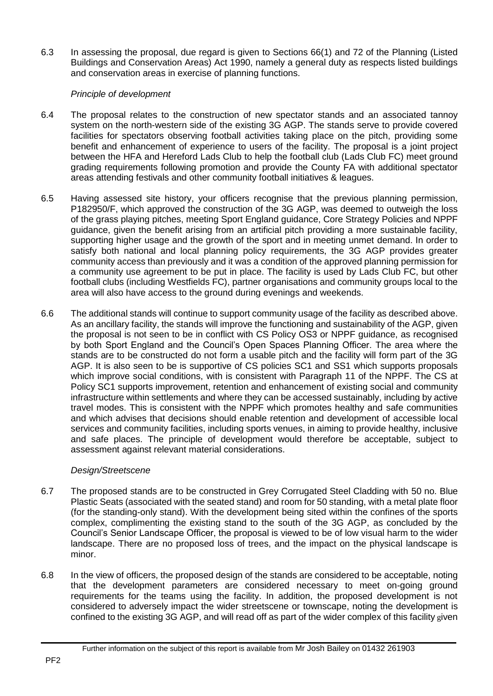6.3 In assessing the proposal, due regard is given to Sections 66(1) and 72 of the Planning (Listed Buildings and Conservation Areas) Act 1990, namely a general duty as respects listed buildings and conservation areas in exercise of planning functions.

# *Principle of development*

- 6.4 The proposal relates to the construction of new spectator stands and an associated tannoy system on the north-western side of the existing 3G AGP. The stands serve to provide covered facilities for spectators observing football activities taking place on the pitch, providing some benefit and enhancement of experience to users of the facility. The proposal is a joint project between the HFA and Hereford Lads Club to help the football club (Lads Club FC) meet ground grading requirements following promotion and provide the County FA with additional spectator areas attending festivals and other community football initiatives & leagues.
- 6.5 Having assessed site history, your officers recognise that the previous planning permission, P182950/F, which approved the construction of the 3G AGP, was deemed to outweigh the loss of the grass playing pitches, meeting Sport England guidance, Core Strategy Policies and NPPF guidance, given the benefit arising from an artificial pitch providing a more sustainable facility, supporting higher usage and the growth of the sport and in meeting unmet demand. In order to satisfy both national and local planning policy requirements, the 3G AGP provides greater community access than previously and it was a condition of the approved planning permission for a community use agreement to be put in place. The facility is used by Lads Club FC, but other football clubs (including Westfields FC), partner organisations and community groups local to the area will also have access to the ground during evenings and weekends.
- 6.6 The additional stands will continue to support community usage of the facility as described above. As an ancillary facility, the stands will improve the functioning and sustainability of the AGP, given the proposal is not seen to be in conflict with CS Policy OS3 or NPPF guidance, as recognised by both Sport England and the Council's Open Spaces Planning Officer. The area where the stands are to be constructed do not form a usable pitch and the facility will form part of the 3G AGP. It is also seen to be is supportive of CS policies SC1 and SS1 which supports proposals which improve social conditions, with is consistent with Paragraph 11 of the NPPF. The CS at Policy SC1 supports improvement, retention and enhancement of existing social and community infrastructure within settlements and where they can be accessed sustainably, including by active travel modes. This is consistent with the NPPF which promotes healthy and safe communities and which advises that decisions should enable retention and development of accessible local services and community facilities, including sports venues, in aiming to provide healthy, inclusive and safe places. The principle of development would therefore be acceptable, subject to assessment against relevant material considerations.

### *Design/Streetscene*

- 6.7 The proposed stands are to be constructed in Grey Corrugated Steel Cladding with 50 no. Blue Plastic Seats (associated with the seated stand) and room for 50 standing, with a metal plate floor (for the standing-only stand). With the development being sited within the confines of the sports complex, complimenting the existing stand to the south of the 3G AGP, as concluded by the Council's Senior Landscape Officer, the proposal is viewed to be of low visual harm to the wider landscape. There are no proposed loss of trees, and the impact on the physical landscape is minor.
- 6.8 In the view of officers, the proposed design of the stands are considered to be acceptable, noting that the development parameters are considered necessary to meet on-going ground requirements for the teams using the facility. In addition, the proposed development is not considered to adversely impact the wider streetscene or townscape, noting the development is confined to the existing 3G AGP, and will read off as part of the wider complex of this facility given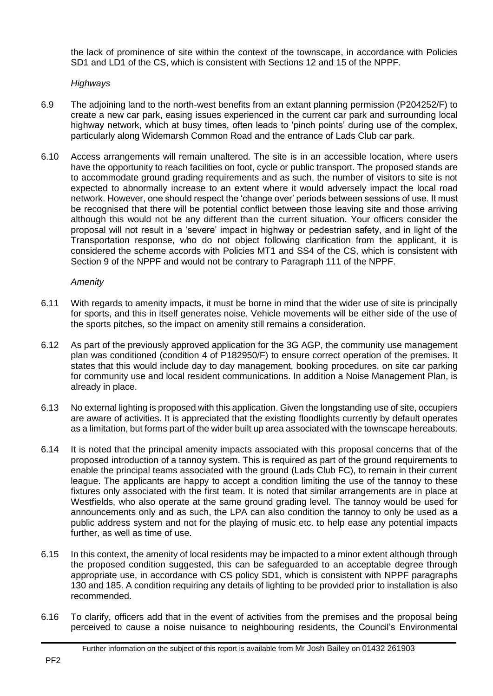the lack of prominence of site within the context of the townscape, in accordance with Policies SD1 and LD1 of the CS, which is consistent with Sections 12 and 15 of the NPPF.

# *Highways*

- 6.9 The adjoining land to the north-west benefits from an extant planning permission (P204252/F) to create a new car park, easing issues experienced in the current car park and surrounding local highway network, which at busy times, often leads to 'pinch points' during use of the complex, particularly along Widemarsh Common Road and the entrance of Lads Club car park.
- 6.10 Access arrangements will remain unaltered. The site is in an accessible location, where users have the opportunity to reach facilities on foot, cycle or public transport. The proposed stands are to accommodate ground grading requirements and as such, the number of visitors to site is not expected to abnormally increase to an extent where it would adversely impact the local road network. However, one should respect the 'change over' periods between sessions of use. It must be recognised that there will be potential conflict between those leaving site and those arriving although this would not be any different than the current situation. Your officers consider the proposal will not result in a 'severe' impact in highway or pedestrian safety, and in light of the Transportation response, who do not object following clarification from the applicant, it is considered the scheme accords with Policies MT1 and SS4 of the CS, which is consistent with Section 9 of the NPPF and would not be contrary to Paragraph 111 of the NPPF.

### *Amenity*

- 6.11 With regards to amenity impacts, it must be borne in mind that the wider use of site is principally for sports, and this in itself generates noise. Vehicle movements will be either side of the use of the sports pitches, so the impact on amenity still remains a consideration.
- 6.12 As part of the previously approved application for the 3G AGP, the community use management plan was conditioned (condition 4 of P182950/F) to ensure correct operation of the premises. It states that this would include day to day management, booking procedures, on site car parking for community use and local resident communications. In addition a Noise Management Plan, is already in place.
- 6.13 No external lighting is proposed with this application. Given the longstanding use of site, occupiers are aware of activities. It is appreciated that the existing floodlights currently by default operates as a limitation, but forms part of the wider built up area associated with the townscape hereabouts.
- 6.14 It is noted that the principal amenity impacts associated with this proposal concerns that of the proposed introduction of a tannoy system. This is required as part of the ground requirements to enable the principal teams associated with the ground (Lads Club FC), to remain in their current league. The applicants are happy to accept a condition limiting the use of the tannoy to these fixtures only associated with the first team. It is noted that similar arrangements are in place at Westfields, who also operate at the same ground grading level. The tannoy would be used for announcements only and as such, the LPA can also condition the tannoy to only be used as a public address system and not for the playing of music etc. to help ease any potential impacts further, as well as time of use.
- 6.15 In this context, the amenity of local residents may be impacted to a minor extent although through the proposed condition suggested, this can be safeguarded to an acceptable degree through appropriate use, in accordance with CS policy SD1, which is consistent with NPPF paragraphs 130 and 185. A condition requiring any details of lighting to be provided prior to installation is also recommended.
- 6.16 To clarify, officers add that in the event of activities from the premises and the proposal being perceived to cause a noise nuisance to neighbouring residents, the Council's Environmental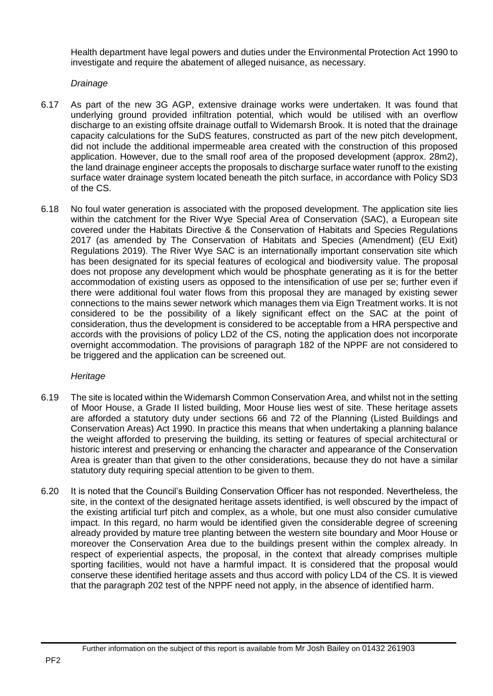Health department have legal powers and duties under the Environmental Protection Act 1990 to investigate and require the abatement of alleged nuisance, as necessary.

# *Drainage*

- 6.17 As part of the new 3G AGP, extensive drainage works were undertaken. It was found that underlying ground provided infiltration potential, which would be utilised with an overflow discharge to an existing offsite drainage outfall to Widemarsh Brook. It is noted that the drainage capacity calculations for the SuDS features, constructed as part of the new pitch development, did not include the additional impermeable area created with the construction of this proposed application. However, due to the small roof area of the proposed development (approx. 28m2), the land drainage engineer accepts the proposals to discharge surface water runoff to the existing surface water drainage system located beneath the pitch surface, in accordance with Policy SD3 of the CS.
- 6.18 No foul water generation is associated with the proposed development. The application site lies within the catchment for the River Wye Special Area of Conservation (SAC), a European site covered under the Habitats Directive & the Conservation of Habitats and Species Regulations 2017 (as amended by The Conservation of Habitats and Species (Amendment) (EU Exit) Regulations 2019). The River Wye SAC is an internationally important conservation site which has been designated for its special features of ecological and biodiversity value. The proposal does not propose any development which would be phosphate generating as it is for the better accommodation of existing users as opposed to the intensification of use per se; further even if there were additional foul water flows from this proposal they are managed by existing sewer connections to the mains sewer network which manages them via Eign Treatment works. It is not considered to be the possibility of a likely significant effect on the SAC at the point of consideration, thus the development is considered to be acceptable from a HRA perspective and accords with the provisions of policy LD2 of the CS, noting the application does not incorporate overnight accommodation. The provisions of paragraph 182 of the NPPF are not considered to be triggered and the application can be screened out.

### *Heritage*

- 6.19 The site is located within the Widemarsh Common Conservation Area, and whilst not in the setting of Moor House, a Grade II listed building, Moor House lies west of site. These heritage assets are afforded a statutory duty under sections 66 and 72 of the Planning (Listed Buildings and Conservation Areas) Act 1990. In practice this means that when undertaking a planning balance the weight afforded to preserving the building, its setting or features of special architectural or historic interest and preserving or enhancing the character and appearance of the Conservation Area is greater than that given to the other considerations, because they do not have a similar statutory duty requiring special attention to be given to them.
- 6.20 It is noted that the Council's Building Conservation Officer has not responded. Nevertheless, the site, in the context of the designated heritage assets identified, is well obscured by the impact of the existing artificial turf pitch and complex, as a whole, but one must also consider cumulative impact. In this regard, no harm would be identified given the considerable degree of screening already provided by mature tree planting between the western site boundary and Moor House or moreover the Conservation Area due to the buildings present within the complex already. In respect of experiential aspects, the proposal, in the context that already comprises multiple sporting facilities, would not have a harmful impact. It is considered that the proposal would conserve these identified heritage assets and thus accord with policy LD4 of the CS. It is viewed that the paragraph 202 test of the NPPF need not apply, in the absence of identified harm.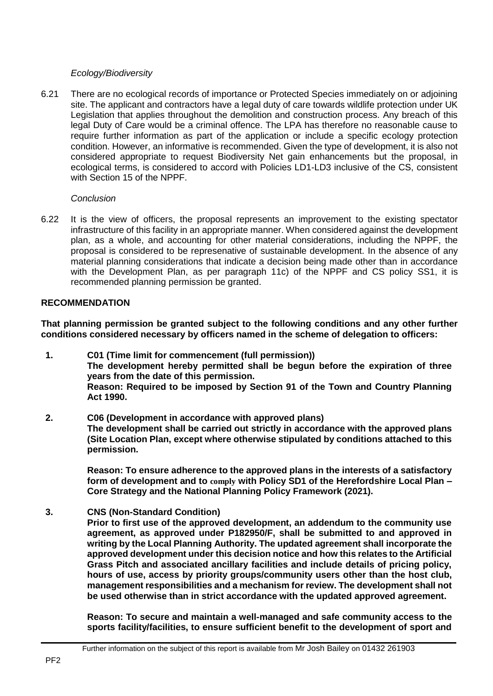# *Ecology/Biodiversity*

6.21 There are no ecological records of importance or Protected Species immediately on or adjoining site. The applicant and contractors have a legal duty of care towards wildlife protection under UK Legislation that applies throughout the demolition and construction process. Any breach of this legal Duty of Care would be a criminal offence. The LPA has therefore no reasonable cause to require further information as part of the application or include a specific ecology protection condition. However, an informative is recommended. Given the type of development, it is also not considered appropriate to request Biodiversity Net gain enhancements but the proposal, in ecological terms, is considered to accord with Policies LD1-LD3 inclusive of the CS, consistent with Section 15 of the NPPF.

### *Conclusion*

6.22 It is the view of officers, the proposal represents an improvement to the existing spectator infrastructure of this facility in an appropriate manner. When considered against the development plan, as a whole, and accounting for other material considerations, including the NPPF, the proposal is considered to be represenative of sustainable development. In the absence of any material planning considerations that indicate a decision being made other than in accordance with the Development Plan, as per paragraph 11c) of the NPPF and CS policy SS1, it is recommended planning permission be granted.

# **RECOMMENDATION**

**That planning permission be granted subject to the following conditions and any other further conditions considered necessary by officers named in the scheme of delegation to officers:**

- **1. C01 (Time limit for commencement (full permission)) The development hereby permitted shall be begun before the expiration of three years from the date of this permission. Reason: Required to be imposed by Section 91 of the Town and Country Planning Act 1990.**
- **2. C06 (Development in accordance with approved plans) The development shall be carried out strictly in accordance with the approved plans (Site Location Plan, except where otherwise stipulated by conditions attached to this permission.**

**Reason: To ensure adherence to the approved plans in the interests of a satisfactory form of development and to comply with Policy SD1 of the Herefordshire Local Plan – Core Strategy and the National Planning Policy Framework (2021).**

**3. CNS (Non-Standard Condition)**

**Prior to first use of the approved development, an addendum to the community use agreement, as approved under P182950/F, shall be submitted to and approved in writing by the Local Planning Authority. The updated agreement shall incorporate the approved development under this decision notice and how this relates to the Artificial Grass Pitch and associated ancillary facilities and include details of pricing policy, hours of use, access by priority groups/community users other than the host club, management responsibilities and a mechanism for review. The development shall not be used otherwise than in strict accordance with the updated approved agreement.**

**Reason: To secure and maintain a well-managed and safe community access to the sports facility/facilities, to ensure sufficient benefit to the development of sport and**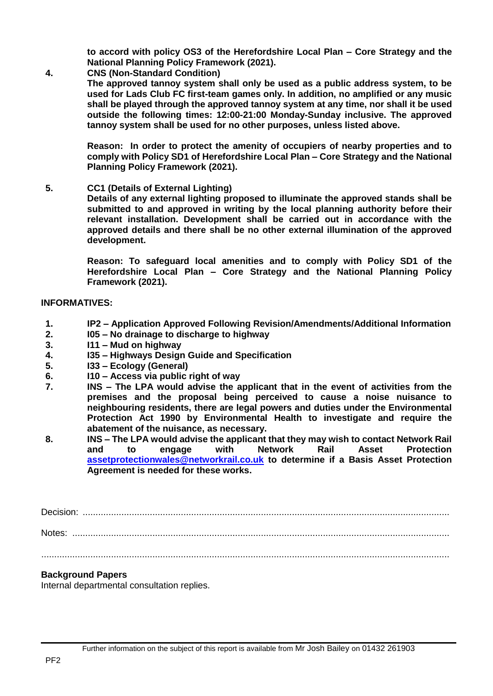**to accord with policy OS3 of the Herefordshire Local Plan – Core Strategy and the National Planning Policy Framework (2021).**

**4. CNS (Non-Standard Condition)**

**The approved tannoy system shall only be used as a public address system, to be used for Lads Club FC first-team games only. In addition, no amplified or any music shall be played through the approved tannoy system at any time, nor shall it be used outside the following times: 12:00-21:00 Monday-Sunday inclusive. The approved tannoy system shall be used for no other purposes, unless listed above.**

**Reason: In order to protect the amenity of occupiers of nearby properties and to comply with Policy SD1 of Herefordshire Local Plan – Core Strategy and the National Planning Policy Framework (2021).**

**5. CC1 (Details of External Lighting)**

**Details of any external lighting proposed to illuminate the approved stands shall be submitted to and approved in writing by the local planning authority before their relevant installation. Development shall be carried out in accordance with the approved details and there shall be no other external illumination of the approved development.**

**Reason: To safeguard local amenities and to comply with Policy SD1 of the Herefordshire Local Plan – Core Strategy and the National Planning Policy Framework (2021).**

### **INFORMATIVES:**

- **1. IP2 – Application Approved Following Revision/Amendments/Additional Information**
- **2. I05 – No drainage to discharge to highway**
- **3. I11 – Mud on highway**
- **4. I35 – Highways Design Guide and Specification**
- **5. I33 – Ecology (General)**
- **6. I10 – Access via public right of way**
- **7. INS – The LPA would advise the applicant that in the event of activities from the premises and the proposal being perceived to cause a noise nuisance to neighbouring residents, there are legal powers and duties under the Environmental Protection Act 1990 by Environmental Health to investigate and require the abatement of the nuisance, as necessary.**
- **8. INS – The LPA would advise the applicant that they may wish to contact Network Rail and to engage with Network Rail Asset Protection [assetprotectionwales@networkrail.co.uk](mailto:assetprotectionwales@networkrail.co.uk) to determine if a Basis Asset Protection Agreement is needed for these works.**

Decision: .............................................................................................................................................. Notes: ..................................................................................................................................................

..............................................................................................................................................................

# **Background Papers**

Internal departmental consultation replies.